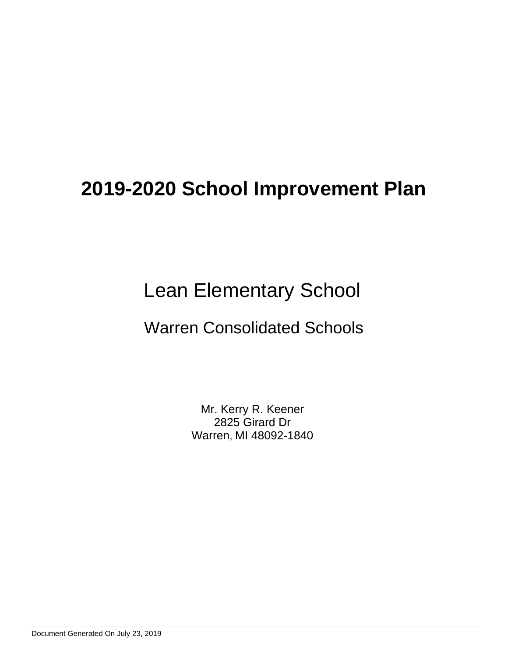# Lean Elementary School

## Warren Consolidated Schools

Mr. Kerry R. Keener 2825 Girard Dr Warren, MI 48092-1840

Document Generated On July 23, 2019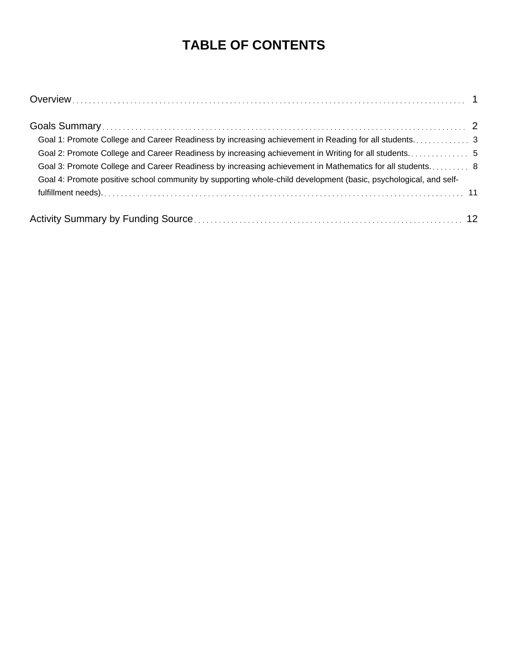## **TABLE OF CONTENTS**

| Goal 1: Promote College and Career Readiness by increasing achievement in Reading for all students3              |  |
|------------------------------------------------------------------------------------------------------------------|--|
|                                                                                                                  |  |
| Goal 3: Promote College and Career Readiness by increasing achievement in Mathematics for all students 8         |  |
| Goal 4: Promote positive school community by supporting whole-child development (basic, psychological, and self- |  |
|                                                                                                                  |  |
|                                                                                                                  |  |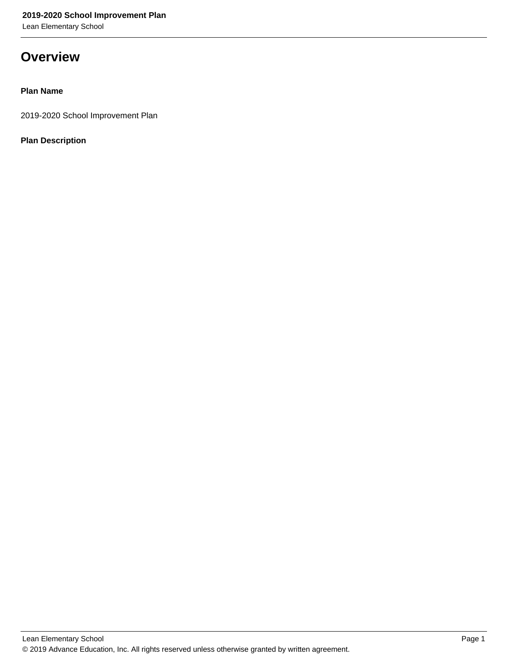Lean Elementary School

## **Overview**

## **Plan Name**

2019-2020 School Improvement Plan

## **Plan Description**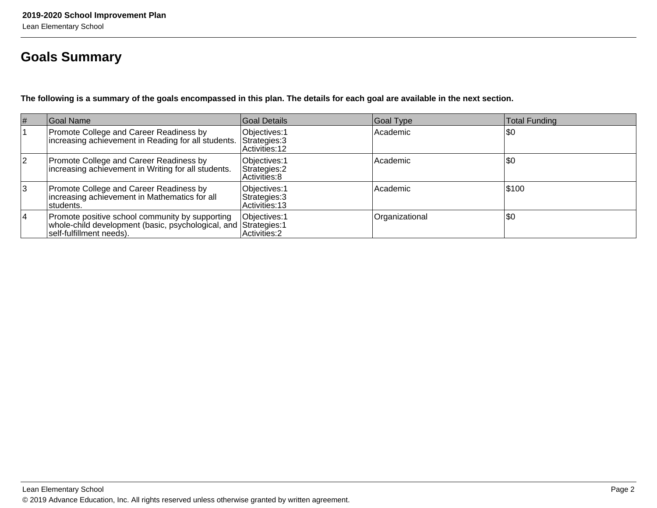## **Goals Summary**

**The following is a summary of the goals encompassed in this plan. The details for each goal are available in the next section.**

| # | Goal Name                                                                                                                                       | Goal Details                                            | Goal Type      | <b>Total Funding</b> |
|---|-------------------------------------------------------------------------------------------------------------------------------------------------|---------------------------------------------------------|----------------|----------------------|
|   | Promote College and Career Readiness by<br>increasing achievement in Reading for all students.                                                  | Objectives: 1<br>Strategies: 3<br>IActivities: 12       | Academic       | \$0                  |
| 2 | Promote College and Career Readiness by<br>increasing achievement in Writing for all students.                                                  | Objectives: 1<br>Strategies: 2<br> Activities: 8        | Academic       | \$0                  |
| 3 | Promote College and Career Readiness by<br>increasing achievement in Mathematics for all<br>Istudents.                                          | Objectives: 1<br>Strategies: 3<br><b>Activities: 13</b> | Academic       | \$100                |
| 4 | Promote positive school community by supporting<br>whole-child development (basic, psychological, and Strategies: 1<br>self-fulfillment needs). | Objectives: 1<br>Activities: 2                          | Organizational | \$0                  |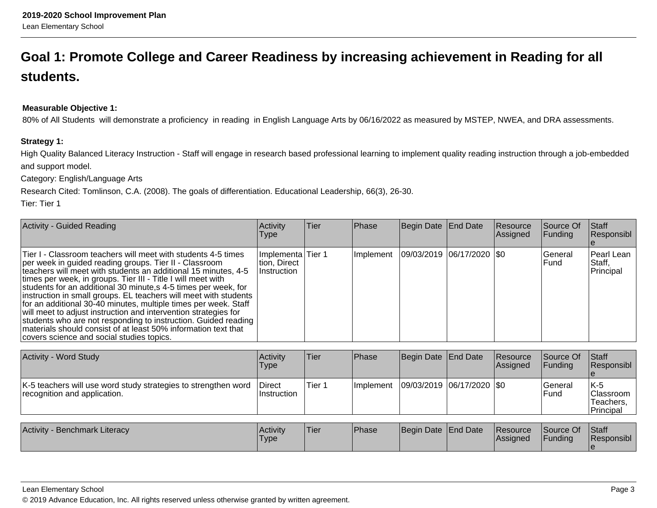## **Goal 1: Promote College and Career Readiness by increasing achievement in Reading for allstudents.**

### **Measurable Objective 1:**

80% of All Students will demonstrate a proficiency in reading in English Language Arts by 06/16/2022 as measured by MSTEP, NWEA, and DRA assessments.

#### **Strategy 1:**

High Quality Balanced Literacy Instruction - Staff will engage in research based professional learning to implement quality reading instruction through a job-embeddedand support model.

Category: English/Language Arts

Research Cited: Tomlinson, C.A. (2008). The goals of differentiation. Educational Leadership, 66(3), 26-30.

Tier: Tier 1

| Activity - Guided Reading                                                                                                                                                                                                                                                                                                                                                                                                                                                                                                                                                                                                                                                                                               | Activity<br><b>Type</b>                           | Tier | Phase     | Begin Date End Date         | Resource<br>Assigned | Source Of<br><b>Funding</b> | <b>Staff</b><br>Responsibl        |
|-------------------------------------------------------------------------------------------------------------------------------------------------------------------------------------------------------------------------------------------------------------------------------------------------------------------------------------------------------------------------------------------------------------------------------------------------------------------------------------------------------------------------------------------------------------------------------------------------------------------------------------------------------------------------------------------------------------------------|---------------------------------------------------|------|-----------|-----------------------------|----------------------|-----------------------------|-----------------------------------|
| Tier I - Classroom teachers will meet with students 4-5 times<br>per week in guided reading groups. Tier II - Classroom<br>teachers will meet with students an additional 15 minutes, 4-5<br>times per week, in groups. Tier III - Title I will meet with<br>students for an additional 30 minute, s 4-5 times per week, for<br>instruction in small groups. EL teachers will meet with students<br>for an additional 30-40 minutes, multiple times per week. Staff<br>will meet to adjust instruction and intervention strategies for<br>students who are not responding to instruction. Guided reading<br>materials should consist of at least 50% information text that<br>covers science and social studies topics. | Implementa Tier 1<br>tion, Direct<br>∣Instruction |      | Implement | 09/03/2019 06/17/2020   \$0 |                      | <b>IGeneral</b><br>lFund    | Pearl Lean<br>Staff,<br>Principal |

| Activity - Word Study                                                                          | Activity<br>Type                     | lTier.  | <b>Phase</b>      | Begin Date End Date       | Resource<br><b>Assigned</b> | <b>Source Of</b><br>IFundina | <b>Staff</b><br><b>Responsibl</b>              |
|------------------------------------------------------------------------------------------------|--------------------------------------|---------|-------------------|---------------------------|-----------------------------|------------------------------|------------------------------------------------|
| K-5 teachers will use word study strategies to strengthen word<br>recognition and application. | <b>IDirect</b><br><b>Instruction</b> | lTier 1 | <b>Ilmplement</b> | 09/03/2019 06/17/2020 \$0 |                             | lGeneral<br>l Fund           | K-5<br>IClassroom I<br>Teachers.<br>'Principal |

| Activity<br><b>4 - Benchmark Literacy</b> | Activity<br>'Type | <b>Tier</b> | <b>Phase</b> | Begin Date End Date | <b>Resource</b><br><b>Assigned</b> | Source Of<br>Funding | <b>Staff</b><br>Responsibl |
|-------------------------------------------|-------------------|-------------|--------------|---------------------|------------------------------------|----------------------|----------------------------|
|                                           |                   |             |              |                     |                                    |                      |                            |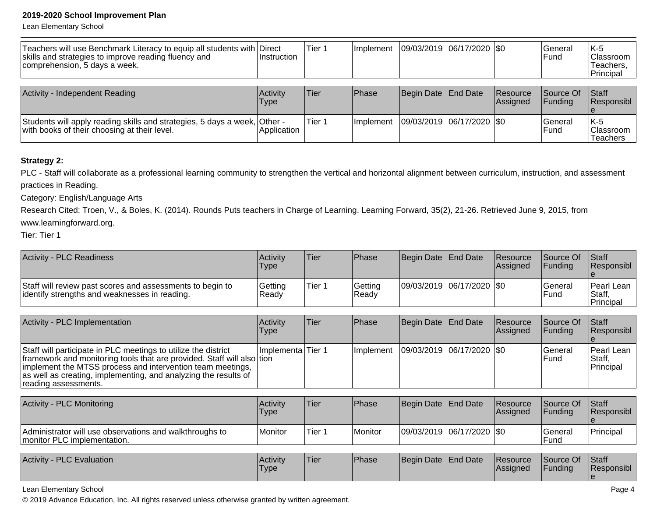Lean Elementary School

| Teachers will use Benchmark Literacy to equip all students with Direct<br>skills and strategies to improve reading fluency and<br>comprehension, 5 days a week. | ∣Instruction     | Tier 1 | ilmplement | 09/03/2019 06/17/2020 \$0 |                             | l General<br>l Fund          | IK-5<br><b>Classroom</b><br>Teachers,<br>Principal |
|-----------------------------------------------------------------------------------------------------------------------------------------------------------------|------------------|--------|------------|---------------------------|-----------------------------|------------------------------|----------------------------------------------------|
| Activity - Independent Reading                                                                                                                                  | Activity<br>Type | lTier  | Phase      | Begin Date End Date       | <b>Resource</b><br>Assigned | Source Of<br><b>IFundina</b> | <b>Staff</b><br>Responsibl                         |
| Students will apply reading skills and strategies, 5 days a week, Other -<br>with books of their choosing at their level.                                       | Application      | Tier 1 | Implement  | 09/03/2019 06/17/2020 0   |                             | <b>IGeneral</b><br>l Fund    | IK-5<br><b>Classroom</b><br><b>Teachers</b>        |

### **Strategy 2:**

PLC - Staff will collaborate as a professional learning community to strengthen the vertical and horizontal alignment between curriculum, instruction, and assessment practices in Reading.

Category: English/Language Arts

 Research Cited: Troen, V., & Boles, K. (2014). Rounds Puts teachers in Charge of Learning. Learning Forward, 35(2), 21-26. Retrieved June 9, 2015, fromwww.learningforward.org.

Tier: Tier 1

| Activity - PLC Readiness                                                                                    | <b>Activity</b><br>'Type | <b>Tier</b> | <b>Phase</b>      | Begin Date End Date       | <b>Resource</b><br>Assigned | Source Of<br><b>IFundina</b> | <b>Staff</b><br>Responsibl                  |
|-------------------------------------------------------------------------------------------------------------|--------------------------|-------------|-------------------|---------------------------|-----------------------------|------------------------------|---------------------------------------------|
| Staff will review past scores and assessments to begin to<br>lidentify strengths and weaknesses in reading. | Getting<br> Readv        | Tier 1      | Getting<br> Readv | 09/03/2019 06/17/2020 \$0 |                             | lGeneral<br>lFund            | <b>IPearl Lean</b> I<br>Staff,<br>Principal |

| Activity - PLC Implementation                                                                                                                                                                                                                                                                     | Activity<br><b>Type</b> | Tier | <b>IPhase</b>     | Begin Date End Date         | <b>Resource</b><br><b>Assigned</b> | <b>Source Of</b><br><b>IFunding</b> | <b>Staff</b><br>Responsibl               |
|---------------------------------------------------------------------------------------------------------------------------------------------------------------------------------------------------------------------------------------------------------------------------------------------------|-------------------------|------|-------------------|-----------------------------|------------------------------------|-------------------------------------|------------------------------------------|
| Staff will participate in PLC meetings to utilize the district<br>framework and monitoring tools that are provided. Staff will also tion<br>implement the MTSS process and intervention team meetings,<br>as well as creating, implementing, and analyzing the results of<br>reading assessments. | Ilmplementa Tier 1      |      | <b>Ilmplement</b> | 09/03/2019  06/17/2020  \$0 |                                    | <b>IGeneral</b><br>l Fund           | <b>Pearl Lean</b><br>Staff,<br>Principal |

| <b>Activity - PLC Monitoring</b>                                                       | <b>Activity</b><br>Type | 'Tier  | <b>IPhase</b> | Begin Date End Date |                           | <b>Resource</b><br><b>IAssigned</b> | Source Of<br><b>IFunding</b> | <b>Staff</b><br><b>Responsibl</b> |
|----------------------------------------------------------------------------------------|-------------------------|--------|---------------|---------------------|---------------------------|-------------------------------------|------------------------------|-----------------------------------|
| Administrator will use observations and walkthroughs to<br>monitor PLC implementation. | Monitor                 | Tier 1 | Monitor       |                     | 09/03/2019 06/17/2020 \$0 |                                     | lGeneral<br>lFund            | Principal                         |

| <b>Activity - PLC Evaluation</b> | <b>Activity</b><br>Type | 'Tier | Phase | Begin Date End Date |  | <b>Resource</b><br><b>Assigned</b> | Source Of<br>Funding | <b>Staff</b><br><b>Responsibl</b> |
|----------------------------------|-------------------------|-------|-------|---------------------|--|------------------------------------|----------------------|-----------------------------------|
|----------------------------------|-------------------------|-------|-------|---------------------|--|------------------------------------|----------------------|-----------------------------------|

Lean Elementary School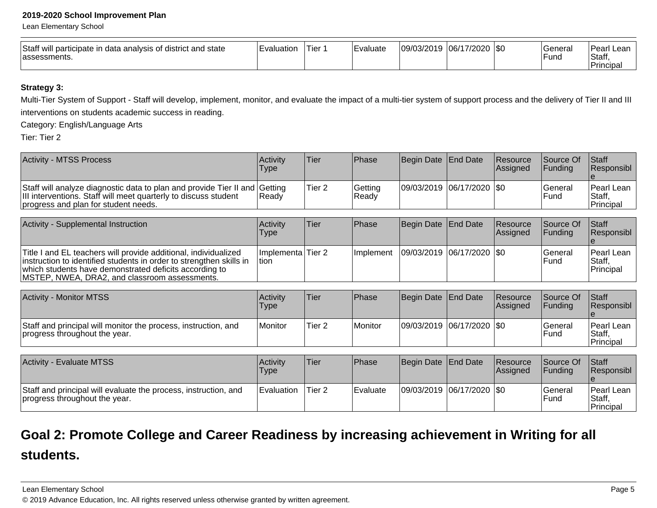Lean Elementary School

| Staff<br>will participate in data analysis of district and state<br>lassessments. | ∟valuatior | Tier: | Evaluate | 109/03/2019 | 06/17/2020<br>7∠∪∠∪ | - ISO | Genera'<br><b>Func</b> | Peari.<br>. Lean<br>Staff,<br><b>Principal</b> |
|-----------------------------------------------------------------------------------|------------|-------|----------|-------------|---------------------|-------|------------------------|------------------------------------------------|
|-----------------------------------------------------------------------------------|------------|-------|----------|-------------|---------------------|-------|------------------------|------------------------------------------------|

### **Strategy 3:**

Multi-Tier System of Support - Staff will develop, implement, monitor, and evaluate the impact of a multi-tier system of support process and the delivery of Tier II and IIIinterventions on students academic success in reading.

Category: English/Language Arts

Tier: Tier 2

| <b>Activity - MTSS Process</b>                                                                                                                                                        | Activity<br><b>Type</b> | 'Tier             | <b>Phase</b>       | Begin Date End Date         | <b>Resource</b><br><b>Assigned</b> | <b>Source Of</b><br><b>IFundina</b> | <b>Staff</b><br><b>Responsibl</b>  |
|---------------------------------------------------------------------------------------------------------------------------------------------------------------------------------------|-------------------------|-------------------|--------------------|-----------------------------|------------------------------------|-------------------------------------|------------------------------------|
| Staff will analyze diagnostic data to plan and provide Tier II and Getting<br>III interventions. Staff will meet quarterly to discuss student<br>progress and plan for student needs. | Ready                   | Tier <sub>2</sub> | Getting<br>l Readv | 09/03/2019 06/17/2020   \$0 |                                    | lGeneral<br>l Fund                  | lPearl Lean<br>Staff,<br>Principal |

| Activity - Supplemental Instruction                                                                                                                                                                                                               | <b>Activity</b><br>Type     | 'Tier | <b>IPhase</b>     | Begin Date End Date         | Resource<br>Assigned | <b>Source Of</b><br><b>IFundina</b> | <b>Staff</b><br>Responsibl         |
|---------------------------------------------------------------------------------------------------------------------------------------------------------------------------------------------------------------------------------------------------|-----------------------------|-------|-------------------|-----------------------------|----------------------|-------------------------------------|------------------------------------|
| Title I and EL teachers will provide additional, individualized<br>instruction to identified students in order to strengthen skills in<br>which students have demonstrated deficits according to<br>MSTEP, NWEA, DRA2, and classroom assessments. | Implementa Tier 2<br>∣tion. |       | <b>Ilmplement</b> | 09/03/2019  06/17/2020  \$0 |                      | <b>IGeneral</b><br><b>IFund</b>     | Pearl Lean<br>IStaff.<br>Principal |

| <b>Activity - Monitor MTSS</b>                                                                  | Activity<br>'Type | 'Tier  | <b>Phase</b> | Begin Date End Date         | Resource<br> Assigned | <b>Source Of</b><br>IFundina | <b>Staff</b><br>Responsibl                   |
|-------------------------------------------------------------------------------------------------|-------------------|--------|--------------|-----------------------------|-----------------------|------------------------------|----------------------------------------------|
| Staff and principal will monitor the process, instruction, and<br>progress throughout the year. | Monitor           | Tier 2 | Monitor      | 09/03/2019  06/17/2020  \$0 |                       | lGeneral<br>lFund            | IPearl Lean I<br> Staff<br><b>IPrincipal</b> |

| <b>Activity - Evaluate MTSS</b>                                                                  | Activity<br>Type    | Tier              | Phase    | Begin Date End Date       | Resource<br><b>Assigned</b> | Source Of<br><b>IFunding</b> | <b>Staff</b><br><b>Responsibl</b>         |
|--------------------------------------------------------------------------------------------------|---------------------|-------------------|----------|---------------------------|-----------------------------|------------------------------|-------------------------------------------|
| Staff and principal will evaluate the process, instruction, and<br>progress throughout the year. | <b>I</b> Evaluation | Tier <sub>2</sub> | Evaluate | 09/03/2019 06/17/2020 \$0 |                             | 'General<br>lFund            | Pearl Lean<br><b>Staff</b> ,<br>Principal |

## **Goal 2: Promote College and Career Readiness by increasing achievement in Writing for allstudents.**

Lean Elementary School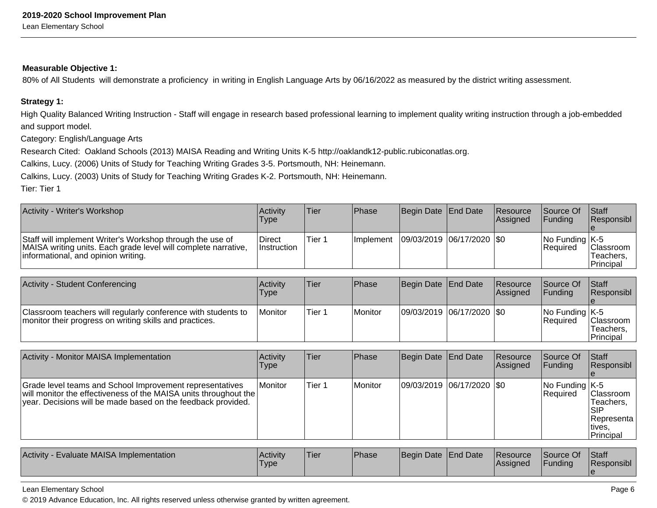#### **Measurable Objective 1:**

80% of All Students will demonstrate a proficiency in writing in English Language Arts by 06/16/2022 as measured by the district writing assessment.

#### **Strategy 1:**

High Quality Balanced Writing Instruction - Staff will engage in research based professional learning to implement quality writing instruction through a job-embeddedand support model.

Category: English/Language Arts

Research Cited: Oakland Schools (2013) MAISA Reading and Writing Units K-5 http://oaklandk12-public.rubiconatlas.org.

Calkins, Lucy. (2006) Units of Study for Teaching Writing Grades 3-5. Portsmouth, NH: Heinemann.

Calkins, Lucy. (2003) Units of Study for Teaching Writing Grades K-2. Portsmouth, NH: Heinemann.

Tier: Tier 1

| Activity - Writer's Workshop                                                                                                                                       | <b>Activity</b><br>Type      | Tier   | Phase            | Begin Date End Date         | <b>Resource</b><br><b>Assigned</b> | <b>Source Of</b><br><b>IFunding</b>       | <b>Staff</b><br>Responsibl                  |
|--------------------------------------------------------------------------------------------------------------------------------------------------------------------|------------------------------|--------|------------------|-----------------------------|------------------------------------|-------------------------------------------|---------------------------------------------|
| Staff will implement Writer's Workshop through the use of<br>MAISA writing units. Each grade level will complete narrative,<br>informational, and opinion writing. | Direct<br><b>Instruction</b> | Tier 1 | <b>Implement</b> | 09/03/2019  06/17/2020  \$0 |                                    | $ No$ Funding $ K-5 $<br><b>IRequired</b> | Classroom<br>Teachers.<br><b>IPrincipal</b> |

| Activity - Student Conferencing                                                                                          | <b>Activity</b><br>Type | 'Tier  | <b>Phase</b> | Begin Date End Date           | Resource<br>Assigned | <b>Source Of</b><br><b>IFundina</b>      | <b>Staff</b><br>Responsibl                 |
|--------------------------------------------------------------------------------------------------------------------------|-------------------------|--------|--------------|-------------------------------|----------------------|------------------------------------------|--------------------------------------------|
| Classroom teachers will regularly conference with students to<br>monitor their progress on writing skills and practices. | <b>IMonitor</b>         | Tier 1 | Monitor      | $ 09/03/2019 06/17/2020 $ \$0 |                      | $ No$ Funding $ K-5 $<br><b>Required</b> | Classroom<br>Teachers.<br><b>Principal</b> |

| Activity - Monitor MAISA Implementation                                                                                                                                                      | Activity<br><b>Type</b> | lTier  | <b>Phase</b> | Begin Date   End Date     | Resource<br>Assigned | Source Of<br><b>Funding</b>       | <b>Staff</b><br>Responsibl                                                 |
|----------------------------------------------------------------------------------------------------------------------------------------------------------------------------------------------|-------------------------|--------|--------------|---------------------------|----------------------|-----------------------------------|----------------------------------------------------------------------------|
| Grade level teams and School Improvement representatives<br>will monitor the effectiveness of the MAISA units throughout the<br>year. Decisions will be made based on the feedback provided. | <i>I</i> Monitor        | Tier 1 | Monitor      | 09/03/2019 06/17/2020 \$0 |                      | $ No$ Funding $ K-5 $<br>Required | <b>Classroom</b><br>Teachers.<br>ISIP<br>Representa<br>tives.<br>Principal |

| Evaluate MAISA Implementation<br><b>Activity</b> | <b>Activity</b><br>Type. | 'Tier | <b>Phase</b> | Begin Date End Date |  | <b>IResource</b><br><b>IAssigned</b> | Source Of<br><b>Funding</b> | Staff<br>Responsibl |
|--------------------------------------------------|--------------------------|-------|--------------|---------------------|--|--------------------------------------|-----------------------------|---------------------|
|--------------------------------------------------|--------------------------|-------|--------------|---------------------|--|--------------------------------------|-----------------------------|---------------------|

Lean Elementary School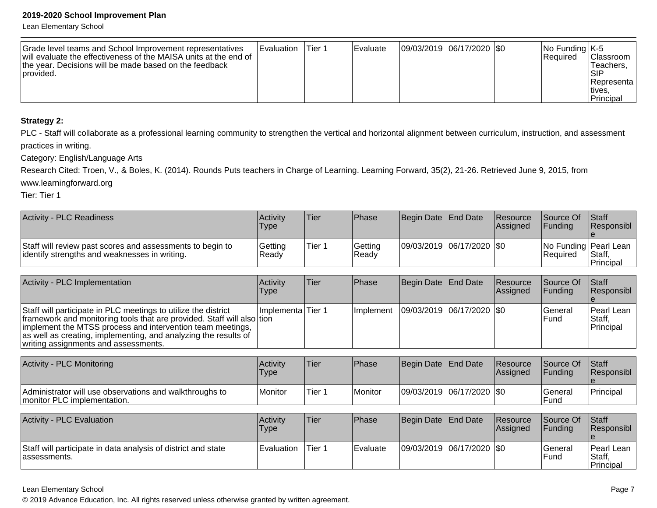Lean Elementary School

| Grade level teams and School Improvement representatives<br>will evaluate the effectiveness of the MAISA units at the end of<br>the year. Decisions will be made based on the feedback<br>Iprovided. | <b>I</b> Evaluation | Tier 1 | <b>IEvaluate</b> | 09/03/2019 06/17/2020 \$0 |  |  | $ No$ Funding $ K-5 $<br><b>IRequired</b> | IClassroom I<br>Teachers.<br>ISIP<br>IRepresenta l<br>∣tives<br>'Principal |
|------------------------------------------------------------------------------------------------------------------------------------------------------------------------------------------------------|---------------------|--------|------------------|---------------------------|--|--|-------------------------------------------|----------------------------------------------------------------------------|
|------------------------------------------------------------------------------------------------------------------------------------------------------------------------------------------------------|---------------------|--------|------------------|---------------------------|--|--|-------------------------------------------|----------------------------------------------------------------------------|

### **Strategy 2:**

PLC - Staff will collaborate as a professional learning community to strengthen the vertical and horizontal alignment between curriculum, instruction, and assessment practices in writing.

Category: English/Language Arts

Research Cited: Troen, V., & Boles, K. (2014). Rounds Puts teachers in Charge of Learning. Learning Forward, 35(2), 21-26. Retrieved June 9, 2015, from

www.learningforward.org

Tier: Tier 1

| <b>Activity - PLC Readiness</b>                                                                            | Activity<br>Type  | Tier   | Phase             | Begin Date End Date         | <b>Resource</b><br><b>Assianed</b> | <b>Source Of</b><br><b>IFundina</b> | <b>Staff</b><br><b>Responsibl</b>                      |
|------------------------------------------------------------------------------------------------------------|-------------------|--------|-------------------|-----------------------------|------------------------------------|-------------------------------------|--------------------------------------------------------|
| Staff will review past scores and assessments to begin to<br>identify strengths and weaknesses in writing. | Getting<br> Ready | Tier 1 | Getting<br> Ready | 09/03/2019  06/17/2020  \$0 |                                    | l Reauired                          | No Funding   Pearl Lean<br>Staff,<br><b>IPrincipal</b> |

| Activity - PLC Implementation                                                                                                                                                                                                                                                                                     | Activity<br>Type    | Tier | <b>IPhase</b>     | Begin Date End Date         | <b>Resource</b><br>Assigned | Source Of<br><b>IFunding</b> | <b>Staff</b><br>Responsibl                |
|-------------------------------------------------------------------------------------------------------------------------------------------------------------------------------------------------------------------------------------------------------------------------------------------------------------------|---------------------|------|-------------------|-----------------------------|-----------------------------|------------------------------|-------------------------------------------|
| Staff will participate in PLC meetings to utilize the district<br>framework and monitoring tools that are provided. Staff will also tion<br>implement the MTSS process and intervention team meetings,<br>as well as creating, implementing, and analyzing the results of<br>writing assignments and assessments. | Ilmplementa lTier 1 |      | <b>Ilmplement</b> | 09/03/2019  06/17/2020  \$0 |                             | lGeneral<br>lFund            | <b>Pearl Lean</b><br>IStaff.<br>Principal |

| Activity - PLC Monitoring                                                              | ∣Activit∨<br><b>Type</b> | Tier    | Phase     | Begin Date End Date         | Resource<br><b>Assigned</b> | <b>Source Of</b><br><b>IFundina</b> | <b>Staff</b><br><b>Responsibl</b> |
|----------------------------------------------------------------------------------------|--------------------------|---------|-----------|-----------------------------|-----------------------------|-------------------------------------|-----------------------------------|
| Administrator will use observations and walkthroughs to<br>monitor PLC implementation. | Monitor                  | 'Tier 1 | l Monitor | 09/03/2019 06/17/2020   \$0 |                             | <b>General</b><br>l Fund            | <sup>1</sup> Principal            |

| Activity - PLC Evaluation                                                      | <b>Activity</b><br>Type | Tier   | <b>IPhase</b> | Begin Date End Date     | <b>Resource</b><br><b>IAssianed</b> | Source Of<br><b>IFundina</b>   | <b>IStaff</b><br><b>Responsibl</b>    |
|--------------------------------------------------------------------------------|-------------------------|--------|---------------|-------------------------|-------------------------------------|--------------------------------|---------------------------------------|
| Staff will participate in data analysis of district and state<br>lassessments. | <b>Evaluation</b>       | Tier 1 | Evaluate      | 09/03/2019 06/17/2020 0 |                                     | <b>General</b><br><b>IFund</b> | l Pearl Lean<br>IStaff.<br>'Principal |

Lean Elementary School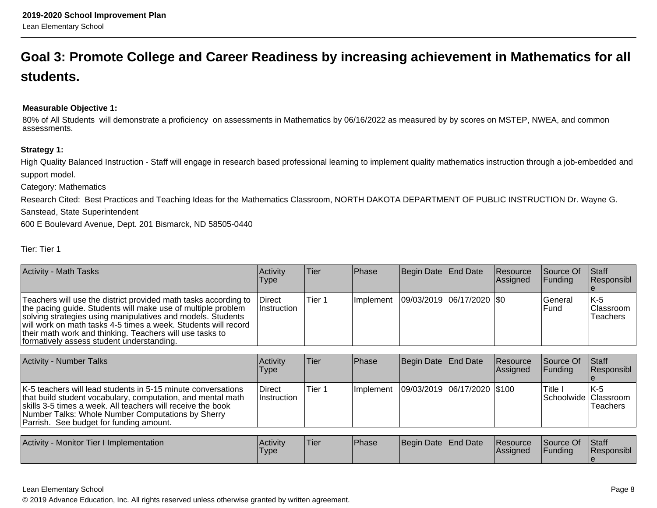## **Goal 3: Promote College and Career Readiness by increasing achievement in Mathematics for allstudents.**

#### **Measurable Objective 1:**

80% of All Students will demonstrate a proficiency on assessments in Mathematics by 06/16/2022 as measured by by scores on MSTEP, NWEA, and commonassessments.

#### **Strategy 1:**

High Quality Balanced Instruction - Staff will engage in research based professional learning to implement quality mathematics instruction through a job-embedded andsupport model.

Category: Mathematics

 Research Cited: Best Practices and Teaching Ideas for the Mathematics Classroom, NORTH DAKOTA DEPARTMENT OF PUBLIC INSTRUCTION Dr. Wayne G.Sanstead, State Superintendent

600 E Boulevard Avenue, Dept. 201 Bismarck, ND 58505-0440

| Tier: Tier |  |
|------------|--|
|            |  |

| <b>Activity - Math Tasks</b>                                                                                                                                                                                                                                                                                                                                              | Activity<br>Type             | Tier              | <b>Phase</b> | <b>Begin Date</b>           | End Date          | Resource<br>Assigned | Source Of<br><b>Funding</b> | Staff<br>Responsibl                  |
|---------------------------------------------------------------------------------------------------------------------------------------------------------------------------------------------------------------------------------------------------------------------------------------------------------------------------------------------------------------------------|------------------------------|-------------------|--------------|-----------------------------|-------------------|----------------------|-----------------------------|--------------------------------------|
| Teachers will use the district provided math tasks according to<br>the pacing guide. Students will make use of multiple problem<br>solving strategies using manipulatives and models. Students<br>will work on math tasks 4-5 times a week. Students will record<br>their math work and thinking. Teachers will use tasks to<br>formatively assess student understanding. | <b>Direct</b><br>Instruction | Tier 1            | Implement    | 09/03/2019  06/17/2020  \$0 |                   |                      | General<br>Fund             | lK-5<br><b>Classroom</b><br>Teachers |
| <b>Activity - Number Talks</b>                                                                                                                                                                                                                                                                                                                                            | Activity                     | Tier              | Phase        | Begin Date                  | End Date          | Resource             | Source Of                   | Staff                                |
|                                                                                                                                                                                                                                                                                                                                                                           | Type                         |                   |              |                             |                   | Assigned             | <b>Funding</b>              | Responsibl_                          |
| K-5 teachers will lead students in 5-15 minute conversations<br>that build student vocabulary, computation, and mental math<br>skills 3-5 times a week. All teachers will receive the book<br>Number Talks: Whole Number Computations by Sherry<br>Parrish. See budget for funding amount.                                                                                | <b>Direct</b><br>Instruction | Tier <sub>1</sub> | Implement    | 09/03/2019                  | 06/17/2020 \\$100 |                      | Title I<br> Schoolwide      | IK-5<br><b>Classroom</b><br>Teachers |
|                                                                                                                                                                                                                                                                                                                                                                           |                              |                   |              |                             |                   |                      |                             |                                      |
| Activity - Monitor Tier I Implementation                                                                                                                                                                                                                                                                                                                                  | Activity<br>Type             | Tier              | Phase        | Begin Date                  | End Date          | Resource<br>Assigned | Source Of<br>Funding        | Staff<br> Responsibl_                |

#### Lean Elementary School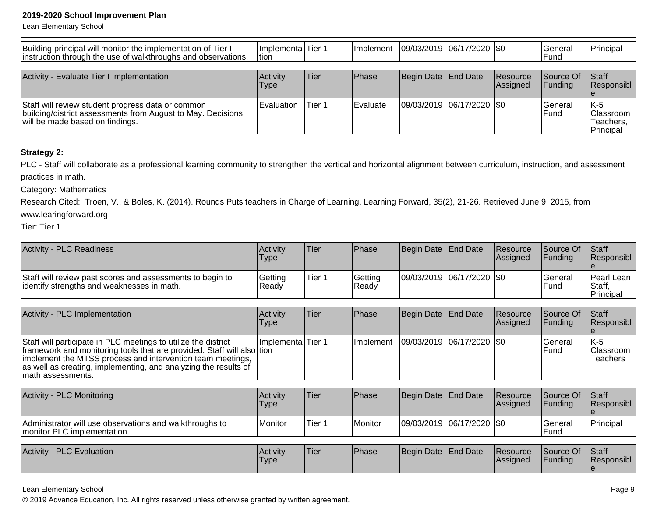Lean Elementary School

| Building principal will monitor the implementation of Tier I<br>instruction through the use of walkthroughs and observations.                       | Implementa Tier 1<br>ltion. |        | <b>Implement</b> | 09/03/2019 06/17/2020 0   |                             | lGeneral<br>lFund            | Principal                                           |
|-----------------------------------------------------------------------------------------------------------------------------------------------------|-----------------------------|--------|------------------|---------------------------|-----------------------------|------------------------------|-----------------------------------------------------|
| Activity - Evaluate Tier I Implementation                                                                                                           | Activity<br><b>Type</b>     | lTier  | Phase            | Begin Date End Date       | <b>Resource</b><br>Assigned | <b>Source Of</b><br>IFundina | <b>Staff</b><br><b>Responsibl</b>                   |
| Staff will review student progress data or common<br>building/district assessments from August to May. Decisions<br>will be made based on findings. | Evaluation                  | Tier 1 | <b>Evaluate</b>  | 09/03/2019 06/17/2020 \$0 |                             | lGeneral<br>lFund            | IK-5<br><b>Classroom</b><br>lTeachers.<br>Principal |

#### **Strategy 2:**

PLC - Staff will collaborate as a professional learning community to strengthen the vertical and horizontal alignment between curriculum, instruction, and assessment practices in math.

Category: Mathematics

 Research Cited: Troen, V., & Boles, K. (2014). Rounds Puts teachers in Charge of Learning. Learning Forward, 35(2), 21-26. Retrieved June 9, 2015, fromwww.learingforward.org

Tier: Tier 1

| <b>Activity - PLC Readiness</b>                                                                         | <b>Activity</b><br>Type | <sup>'</sup> Tier | <b>IPhase</b>     | Begin Date End Date         | <b>Resource</b><br><b>Assigned</b> | Source Of<br><b>IFundina</b> | <b>Staff</b><br><b>Responsibl</b>    |
|---------------------------------------------------------------------------------------------------------|-------------------------|-------------------|-------------------|-----------------------------|------------------------------------|------------------------------|--------------------------------------|
| Staff will review past scores and assessments to begin to<br>identify strengths and weaknesses in math. | Getting<br>Ready        | Tier 1            | Getting<br> Ready | 09/03/2019  06/17/2020  \$0 |                                    | <b>General</b><br>l Fund     | Pearl Lean<br>IStaff.<br>l Principal |

| Activity - PLC Implementation                                                                                                                                                                                                                                                                  | <b>Activity</b><br><b>Type</b> | Tier | Phase             | Begin Date End Date         | Resource<br><b>Assigned</b> | Source Of<br><b>IFunding</b> | <b>Staff</b><br>Responsibl            |
|------------------------------------------------------------------------------------------------------------------------------------------------------------------------------------------------------------------------------------------------------------------------------------------------|--------------------------------|------|-------------------|-----------------------------|-----------------------------|------------------------------|---------------------------------------|
| Staff will participate in PLC meetings to utilize the district<br>framework and monitoring tools that are provided. Staff will also tion<br>implement the MTSS process and intervention team meetings,<br>as well as creating, implementing, and analyzing the results of<br>math assessments. | Ilmplementa lTier 1            |      | <b>Ilmplement</b> | 09/03/2019  06/17/2020  \$0 |                             | l General<br><b>IFund</b>    | IK-5<br>IClassroom<br><b>Teachers</b> |

| Activity - PLC Monitoring                                                               | <b>Activity</b><br><b>Type</b> | 'Tier  | <b>IPhase</b> | Begin Date End Date |                           | <b>Resource</b><br><b>Assigned</b> | Source Of<br><b>IFundina</b> | <b>Staff</b><br><b>Responsibl</b> |
|-----------------------------------------------------------------------------------------|--------------------------------|--------|---------------|---------------------|---------------------------|------------------------------------|------------------------------|-----------------------------------|
| Administrator will use observations and walkthroughs to<br>Imonitor PLC implementation. | Monitor                        | Tier 1 | Monitor       |                     | 09/03/2019 06/17/2020 \$0 |                                    | lGeneral<br><b>IFund</b>     | Principal                         |

| <b>PLC Evaluation</b><br>Activity | l Activitv<br>'Type | Tier | <b>Phase</b> | Begin Date End Date |  | <b>Resource</b><br><b>Assigned</b> | Source Of<br>Funding | <b>Staff</b><br>Responsibl |
|-----------------------------------|---------------------|------|--------------|---------------------|--|------------------------------------|----------------------|----------------------------|
|-----------------------------------|---------------------|------|--------------|---------------------|--|------------------------------------|----------------------|----------------------------|

Lean Elementary School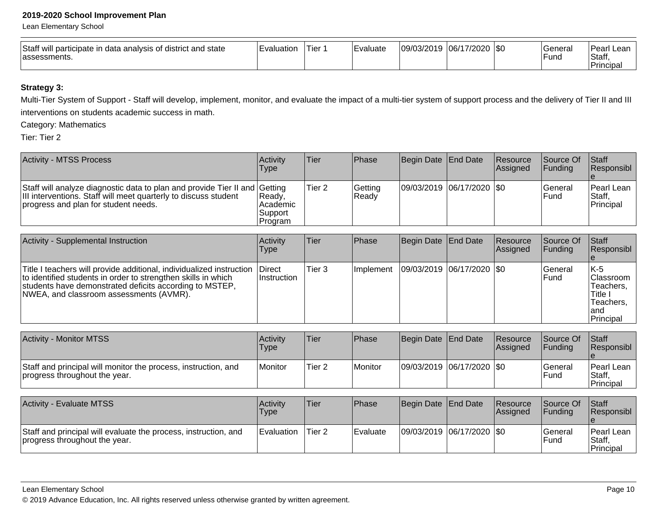Lean Elementary School

| Staff<br>will participate in data analysis of district and state<br>lassessments. | ∟valuatior | Tier: | Evaluate | 109/03/2019 | 06/17/2020<br>7∠∪∠∪ | - ISO | Genera'<br><b>Func</b> | Peari.<br>. Lean<br>Staff,<br><b>Principal</b> |
|-----------------------------------------------------------------------------------|------------|-------|----------|-------------|---------------------|-------|------------------------|------------------------------------------------|
|-----------------------------------------------------------------------------------|------------|-------|----------|-------------|---------------------|-------|------------------------|------------------------------------------------|

## **Strategy 3:**

Multi-Tier System of Support - Staff will develop, implement, monitor, and evaluate the impact of a multi-tier system of support process and the delivery of Tier II and III interventions on students academic success in math.

Category: Mathematics

Tier: Tier 2

| Activity - MTSS Process                                                                                                                                                               | <b>Activity</b><br>Type                    | lTier             | <b>IPhase</b>    | Begin Date End Date       | <b>Resource</b><br><b>Assigned</b> | <b>Source Of</b><br>IFundina | <b>Staff</b><br>Responsibl                |
|---------------------------------------------------------------------------------------------------------------------------------------------------------------------------------------|--------------------------------------------|-------------------|------------------|---------------------------|------------------------------------|------------------------------|-------------------------------------------|
| Staff will analyze diagnostic data to plan and provide Tier II and Getting<br>III interventions. Staff will meet quarterly to discuss student<br>progress and plan for student needs. | Ready.<br>l Academic<br>Support<br>Program | Tier <sub>2</sub> | Getting<br>Ready | 09/03/2019 06/17/2020 \$0 |                                    | lGeneral<br>lFund            | <b>IPearl Lean</b><br>Staff,<br>Principal |

| Activity - Supplemental Instruction                                                                                                                                                                                                         | Activity<br><b>Type</b>        | lTier             | Phase      | Begin Date   End Date         | Resource<br><b>Assigned</b> | Source Of<br><b>IFunding</b> | <b>Staff</b><br>Responsibl                                                           |
|---------------------------------------------------------------------------------------------------------------------------------------------------------------------------------------------------------------------------------------------|--------------------------------|-------------------|------------|-------------------------------|-----------------------------|------------------------------|--------------------------------------------------------------------------------------|
| Title I teachers will provide additional, individualized instruction<br>to identified students in order to strengthen skills in which<br>students have demonstrated deficits according to MSTEP,<br>NWEA, and classroom assessments (AVMR). | <b>IDirect</b><br>∣Instruction | Tier <sub>3</sub> | Ilmplement | $ 09/03/2019 06/17/2020 $ \$0 |                             | lGeneral<br>lFund            | $IK-5$<br><b>Classroom</b><br>Teachers,<br>Title i<br>Teachers.<br>land<br>Principal |

| <b>Activity - Monitor MTSS</b>                                                                  | <b>Activity</b><br>Type | 'Tier             | Phase   | Begin Date End Date     | <b>Resource</b><br><b>Assigned</b> | Source Of<br><b>IFundina</b>  | <b>Staff</b><br><b>Responsibl</b>   |
|-------------------------------------------------------------------------------------------------|-------------------------|-------------------|---------|-------------------------|------------------------------------|-------------------------------|-------------------------------------|
| Staff and principal will monitor the process, instruction, and<br>progress throughout the year. | Monitor                 | Tier <sub>2</sub> | Monitor | 09/03/2019 06/17/2020 0 |                                    | <b>General</b><br><b>Fund</b> | l Pearl Lean<br>Staff,<br>Principal |

| <b>Activity - Evaluate MTSS</b>                                                                  | Activity<br>Type | Tier              | <b>Phase</b> | Begin Date End Date       | <b>Resource</b><br><b>Assigned</b> | Source Of<br><b>IFundina</b> | <b>Staff</b><br><b>Responsibl</b>         |
|--------------------------------------------------------------------------------------------------|------------------|-------------------|--------------|---------------------------|------------------------------------|------------------------------|-------------------------------------------|
| Staff and principal will evaluate the process, instruction, and<br>progress throughout the year. | Evaluation       | Tier <sub>2</sub> | l Evaluate   | 09/03/2019 06/17/2020 \$0 |                                    | lGeneral<br>l Fund           | <b>IPearl Lean</b><br>Staff.<br>Principal |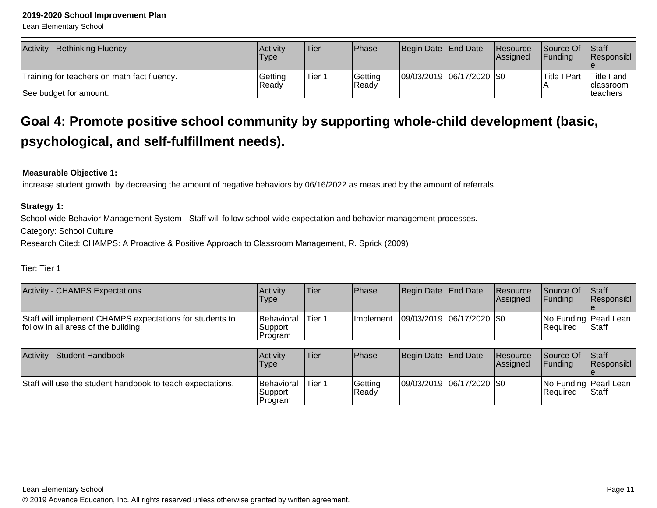Lean Elementary School

| <b>Activity - Rethinking Fluency</b>        | <b>Activity</b><br>Type | Tier   | Phase            | Begin Date End Date       | Resource<br>Assigned | <b>Source Of</b><br><b>IFundina</b> | <b>Staff</b><br>Responsibl        |
|---------------------------------------------|-------------------------|--------|------------------|---------------------------|----------------------|-------------------------------------|-----------------------------------|
| Training for teachers on math fact fluency. | Getting<br>Ready        | Tier 1 | Getting<br>Ready | 09/03/2019 06/17/2020 \$0 |                      | <b>Title I Part</b>                 | 'Title I and<br><b>Iclassroom</b> |
| See budget for amount.                      |                         |        |                  |                           |                      |                                     | <b>Iteachers</b>                  |

## **Goal 4: Promote positive school community by supporting whole-child development (basic,psychological, and self-fulfillment needs).**

#### **Measurable Objective 1:**

increase student growth by decreasing the amount of negative behaviors by 06/16/2022 as measured by the amount of referrals.

#### **Strategy 1:**

School-wide Behavior Management System - Staff will follow school-wide expectation and behavior management processes.

Category: School Culture

Research Cited: CHAMPS: A Proactive & Positive Approach to Classroom Management, R. Sprick (2009)

### Tier: Tier 1

| <b>Activity - CHAMPS Expectations</b>                                                            | Activity<br><b>Type</b>                 | Tier   | <b>Phase</b>     | Begin Date End Date         | Resource<br><b>Assigned</b>                          | <b>Source Of</b><br>IFundina       | Staff<br>Responsibl   |
|--------------------------------------------------------------------------------------------------|-----------------------------------------|--------|------------------|-----------------------------|------------------------------------------------------|------------------------------------|-----------------------|
| Staff will implement CHAMPS expectations for students to<br>follow in all areas of the building. | Behavioral<br>Support<br>Program        | Tier 1 | <i>Implement</i> | 09/03/2019  06/17/2020  \$0 |                                                      | No Funding Pearl Lean<br>IReauired | <b>Staff</b>          |
|                                                                                                  |                                         |        |                  |                             |                                                      |                                    |                       |
| <b>Activity - Student Handbook</b>                                                               | Activity<br>1. The contract of the U.S. | Tier   | <b>Phase</b>     | Begin Date   End Date       | Resource<br>المستلومين والمستحدث والمستحدث والمستحدث | <b>Source Of</b>                   | Staff<br>$\mathbf{D}$ |

| T<br><b>OLUUCIIL HAHUUUUN</b>                              | <b>INGUVILY</b><br><b>Type</b>          | ו דפו  | т наз <del>с</del> | <b>IDCUIII DAIC TEHU DAIC</b> | <b>INGSUULUG</b><br><b>Assigned</b> | <b>IUUUILE UI</b><br><b>IFundina</b>  | ווסוטו<br><b>Responsibl</b> |
|------------------------------------------------------------|-----------------------------------------|--------|--------------------|-------------------------------|-------------------------------------|---------------------------------------|-----------------------------|
| Staff will use the student handbook to teach expectations. | <b>Behavioral</b><br>Support<br>Program | Tier 1 | Getting<br>IReadv  | 09/03/2019 06/17/2020 \$0     |                                     | No Funding   Pearl Lean<br>l Reauired | <b>Staff</b>                |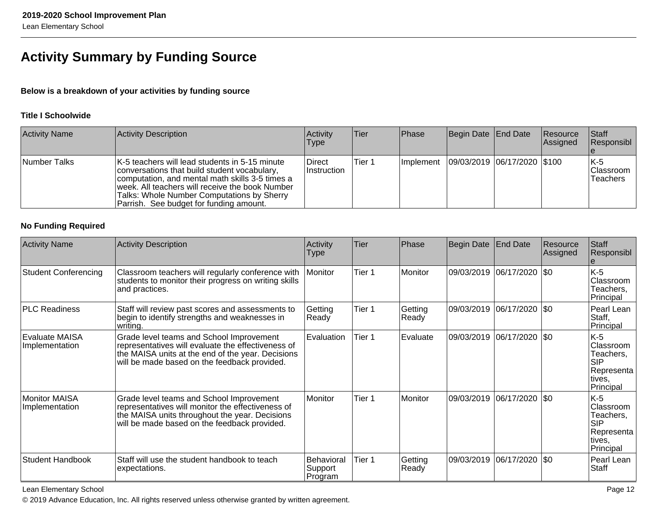## **Activity Summary by Funding Source**

## **Below is a breakdown of your activities by funding source**

#### **Title I Schoolwide**

| <b>Activity Name</b> | Activity Description                                                                                                                                                                                                                                                                          | Activity<br><b>Type</b>       | <b>Tier</b> | <b>Phase</b> | Begin Date End Date                         | <b>Resource</b><br><b>Assigned</b> | Staff<br>Responsibl                  |
|----------------------|-----------------------------------------------------------------------------------------------------------------------------------------------------------------------------------------------------------------------------------------------------------------------------------------------|-------------------------------|-------------|--------------|---------------------------------------------|------------------------------------|--------------------------------------|
| Number Talks         | K-5 teachers will lead students in 5-15 minute<br>conversations that build student vocabulary,<br>computation, and mental math skills 3-5 times a<br>week. All teachers will receive the book Number<br>Talks: Whole Number Computations by Sherry<br>Parrish. See budget for funding amount. | <b>Direct</b><br>∣Instruction | Tier 1      |              | Implement   09/03/2019   06/17/2020   \$100 |                                    | IK-5<br>Classroom<br><b>Teachers</b> |

#### **No Funding Required**

| <b>Activity Name</b>             | <b>Activity Description</b>                                                                                                                                                                         | Activity<br>Type                 | Tier   | Phase            | Begin Date | <b>End Date</b>            | Resource<br>Assigned | <b>Staff</b><br>Responsibl                                                         |
|----------------------------------|-----------------------------------------------------------------------------------------------------------------------------------------------------------------------------------------------------|----------------------------------|--------|------------------|------------|----------------------------|----------------------|------------------------------------------------------------------------------------|
| <b>Student Conferencing</b>      | Classroom teachers will regularly conference with<br>students to monitor their progress on writing skills<br>and practices.                                                                         | Monitor                          | Tier 1 | Monitor          | 09/03/2019 | $ 06/17/2020 $ \$0         |                      | $K-5$<br>Classroom<br>Teachers,<br>Principal                                       |
| <b>PLC Readiness</b>             | Staff will review past scores and assessments to<br>begin to identify strengths and weaknesses in<br>writing.                                                                                       | Getting<br>Ready                 | Tier 1 | Getting<br>Ready | 09/03/2019 | 06/17/2020 \$0             |                      | Pearl Lean<br>Staff,<br>Principal                                                  |
| Evaluate MAISA<br>Implementation | Grade level teams and School Improvement<br>representatives will evaluate the effectiveness of<br>the MAISA units at the end of the year. Decisions<br>will be made based on the feedback provided. | Evaluation                       | Tier 1 | Evaluate         |            | 09/03/2019 06/17/2020  \$0 |                      | $K-5$<br>Classroom<br>Teachers,<br><b>SIP</b><br>Representa<br>tives,<br>Principal |
| Monitor MAISA<br>Implementation  | Grade level teams and School Improvement<br>representatives will monitor the effectiveness of<br>the MAISA units throughout the year. Decisions<br>will be made based on the feedback provided.     | Monitor                          | Tier 1 | Monitor          | 09/03/2019 | $ 06/17/2020 $ \$0         |                      | $K-5$<br>Classroom<br>Teachers,<br><b>SIP</b><br>Representa<br>tives,<br>Principal |
| Student Handbook                 | Staff will use the student handbook to teach<br>expectations.                                                                                                                                       | Behavioral<br>Support<br>Program | Tier 1 | Getting<br>Ready | 09/03/2019 | 06/17/2020                 | \$0                  | Pearl Lean<br>Staff                                                                |

Lean Elementary School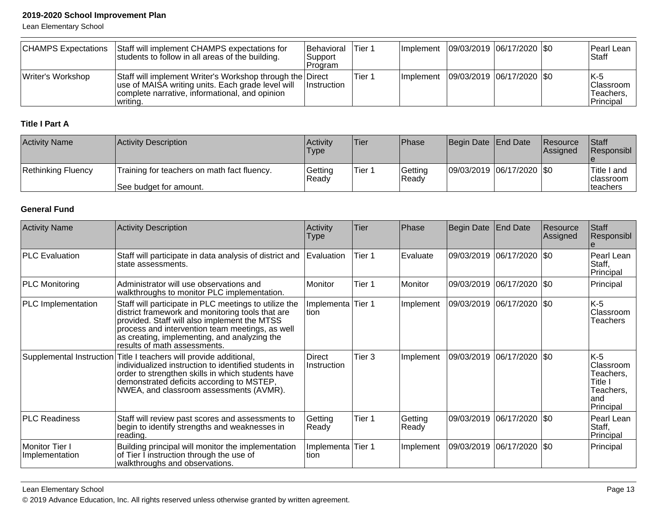Lean Elementary School

| <b>CHAMPS Expectations</b> | Staff will implement CHAMPS expectations for<br>students to follow in all areas of the building.                                                                             | <b>Behavioral</b><br>Support<br>Program | 'Tier 1 |  | Implement 09/03/2019 06/17/2020 \\$0 | Pearl Lean<br>lStaff                         |
|----------------------------|------------------------------------------------------------------------------------------------------------------------------------------------------------------------------|-----------------------------------------|---------|--|--------------------------------------|----------------------------------------------|
| Writer's Workshop          | Staff will implement Writer's Workshop through the Direct<br>use of MAISA writing units. Each grade level will<br>complete narrative, informational, and opinion<br>writing. | <b>Instruction</b>                      | Tier 1  |  | Implement 09/03/2019 06/17/2020 \$0  | K-5<br>Classroom  <br>Teachers,<br>Principal |

## **Title I Part A**

| <b>Activity Name</b> | Activity Description                                                  | <b>Activity</b><br>Type | 'Tier  | <b>Phase</b>      | Begin Date End Date         | <b>Resource</b><br><b>IAssigned</b> | <b>Staff</b><br><b>Responsibl</b>                    |
|----------------------|-----------------------------------------------------------------------|-------------------------|--------|-------------------|-----------------------------|-------------------------------------|------------------------------------------------------|
| Rethinking Fluency   | Training for teachers on math fact fluency.<br>See budget for amount. | Getting<br>l Readv      | Tier 1 | Getting<br> Readv | 09/03/2019  06/17/2020  \$0 |                                     | Title I and<br><b>Iclassroom</b><br><b>Iteachers</b> |

## **General Fund**

| <b>Activity Name</b>             | Activity Description                                                                                                                                                                                                                                                                         | Activity<br>Type      | <b>Tier</b> | Phase            | <b>Begin Date</b> | <b>End Date</b>             | Resource<br>Assigned | Staff<br>Responsibl                                                        |
|----------------------------------|----------------------------------------------------------------------------------------------------------------------------------------------------------------------------------------------------------------------------------------------------------------------------------------------|-----------------------|-------------|------------------|-------------------|-----------------------------|----------------------|----------------------------------------------------------------------------|
| <b>PLC Evaluation</b>            | Staff will participate in data analysis of district and<br>state assessments.                                                                                                                                                                                                                | Evaluation            | Tier 1      | Evaluate         | 09/03/2019        | $ 06/17/2020 $ \$0          |                      | Pearl Lean<br>Staff,<br>Principal                                          |
| <b>PLC Monitoring</b>            | Administrator will use observations and<br>walkthroughs to monitor PLC implementation.                                                                                                                                                                                                       | Monitor               | Tier 1      | Monitor          |                   | 09/03/2019 06/17/2020 \$0   |                      | Principal                                                                  |
| PLC Implementation               | Staff will participate in PLC meetings to utilize the<br>district framework and monitoring tools that are<br>provided. Staff will also implement the MTSS<br>process and intervention team meetings, as well<br>as creating, implementing, and analyzing the<br>results of math assessments. | Implementa<br>tion    | Tier 1      | Implement        |                   | 09/03/2019  06/17/2020  \$0 |                      | K-5<br>Classroom<br>Teachers                                               |
|                                  | Supplemental Instruction Title I teachers will provide additional,<br>individualized instruction to identified students in<br>order to strengthen skills in which students have<br>demonstrated deficits according to MSTEP,<br>NWEA, and classroom assessments (AVMR).                      | Direct<br>Instruction | Tier 3      | Implement        | 09/03/2019        | $ 06/17/2020 $ \$0          |                      | K-5<br>Classroom<br>Teachers.<br>Title I<br>Teachers.<br>land<br>Principal |
| <b>PLC Readiness</b>             | Staff will review past scores and assessments to<br>begin to identify strengths and weaknesses in<br>reading.                                                                                                                                                                                | Getting<br>Ready      | Tier 1      | Getting<br>Ready |                   | 09/03/2019 06/17/2020  \$0  |                      | Pearl Lean<br>Staff,<br>Principal                                          |
| Monitor Tier I<br>Implementation | Building principal will monitor the implementation<br>of Tier I instruction through the use of<br>walkthroughs and observations.                                                                                                                                                             | Implementa<br>tion    | Tier 1      | Implement        | 09/03/2019        | 06/17/2020   \$0            |                      | Principal                                                                  |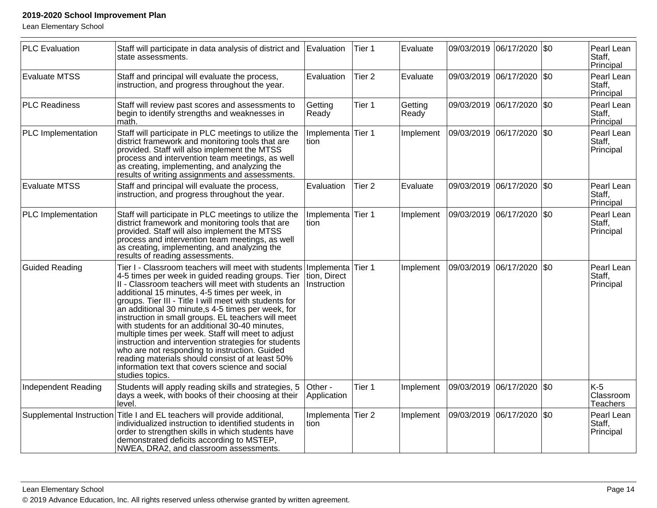Lean Elementary School

| <b>PLC Evaluation</b> | Staff will participate in data analysis of district and<br>state assessments.                                                                                                                                                                                                                                                                                                                                                                                                                                                                                                                                                                                                                                                   | Evaluation                                | Tier 1            | Evaluate         |            | 09/03/2019 06/17/2020 \$0   |             | Pearl Lean<br>Staff,<br>Principal |
|-----------------------|---------------------------------------------------------------------------------------------------------------------------------------------------------------------------------------------------------------------------------------------------------------------------------------------------------------------------------------------------------------------------------------------------------------------------------------------------------------------------------------------------------------------------------------------------------------------------------------------------------------------------------------------------------------------------------------------------------------------------------|-------------------------------------------|-------------------|------------------|------------|-----------------------------|-------------|-----------------------------------|
| <b>Evaluate MTSS</b>  | Staff and principal will evaluate the process,<br>instruction, and progress throughout the year.                                                                                                                                                                                                                                                                                                                                                                                                                                                                                                                                                                                                                                | Evaluation                                | Tier <sub>2</sub> | Evaluate         |            | 09/03/2019 06/17/2020       | $ $ \$0     | Pearl Lean<br>Staff,<br>Principal |
| <b>PLC Readiness</b>  | Staff will review past scores and assessments to<br>begin to identify strengths and weaknesses in<br>math.                                                                                                                                                                                                                                                                                                                                                                                                                                                                                                                                                                                                                      | Getting<br>Ready                          | Tier 1            | Getting<br>Ready |            | 09/03/2019 06/17/2020 \$0   |             | Pearl Lean<br>Staff,<br>Principal |
| PLC Implementation    | Staff will participate in PLC meetings to utilize the<br>district framework and monitoring tools that are<br>provided. Staff will also implement the MTSS<br>process and intervention team meetings, as well<br>as creating, implementing, and analyzing the<br>results of writing assignments and assessments.                                                                                                                                                                                                                                                                                                                                                                                                                 | Implementa Tier 1<br>tion                 |                   | Implement        |            | 09/03/2019  06/17/2020  \$0 |             | Pearl Lean<br>Staff,<br>Principal |
| <b>Evaluate MTSS</b>  | Staff and principal will evaluate the process,<br>instruction, and progress throughout the year.                                                                                                                                                                                                                                                                                                                                                                                                                                                                                                                                                                                                                                | Evaluation                                | Tier <sub>2</sub> | Evaluate         | 09/03/2019 | 06/17/2020                  | \$0         | Pearl Lean<br>Staff,<br>Principal |
| PLC Implementation    | Staff will participate in PLC meetings to utilize the<br>district framework and monitoring tools that are<br>provided. Staff will also implement the MTSS<br>process and intervention team meetings, as well<br>as creating, implementing, and analyzing the<br>results of reading assessments.                                                                                                                                                                                                                                                                                                                                                                                                                                 | Implementa Tier 1<br>tion                 |                   | Implement        |            | 09/03/2019  06/17/2020  \$0 |             | Pearl Lean<br>Staff,<br>Principal |
| <b>Guided Reading</b> | Tier I - Classroom teachers will meet with students<br>4-5 times per week in guided reading groups. Tier<br>II - Classroom teachers will meet with students an<br>additional 15 minutes, 4-5 times per week, in<br>groups. Tier III - Title I will meet with students for<br>an additional 30 minute,s 4-5 times per week, for<br>instruction in small groups. EL teachers will meet<br>with students for an additional 30-40 minutes,<br>multiple times per week. Staff will meet to adjust<br>instruction and intervention strategies for students<br>who are not responding to instruction. Guided<br>reading materials should consist of at least 50%<br>information text that covers science and social<br>studies topics. | Implementa<br>tion, Direct<br>Instruction | Tier 1            | Implement        | 09/03/2019 | 06/17/2020                  | $\sqrt{50}$ | Pearl Lean<br>Staff,<br>Principal |
| Independent Reading   | Students will apply reading skills and strategies, 5<br>days a week, with books of their choosing at their<br>level.                                                                                                                                                                                                                                                                                                                                                                                                                                                                                                                                                                                                            | Other -<br>Application                    | Tier 1            | Implement        |            | 09/03/2019 06/17/2020 \$0   |             | $K-5$<br>Classroom<br>Teachers    |
|                       | Supplemental Instruction Title I and EL teachers will provide additional,<br>individualized instruction to identified students in<br>order to strengthen skills in which students have<br>demonstrated deficits according to MSTEP,<br>NWEA, DRA2, and classroom assessments.                                                                                                                                                                                                                                                                                                                                                                                                                                                   | Implementa Tier 2<br>tion                 |                   | Implement        |            | 09/03/2019 06/17/2020       | $ $ \$0     | Pearl Lean<br>Staff,<br>Principal |